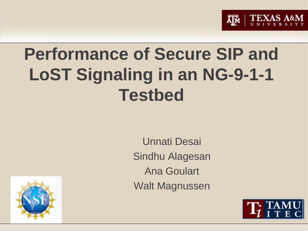

# **Performance of Secure SIP and LoST Signaling in an NG-9-1-1 Testbed**

Unnati Desai Sindhu Alagesan Ana Goulart Walt Magnussen



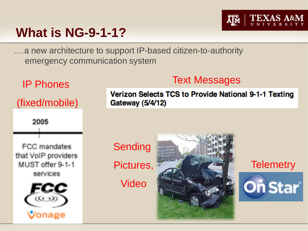## **What is NG-9-1-1?**

….a new architecture to support IP-based citizen-to-authority emergency communication system



Verizon Selects TCS to Provide National 9-1-1 Texting Gateway (5/4/12)

Text Messages

Ā∥Ñ

Sending Pictures,

Video



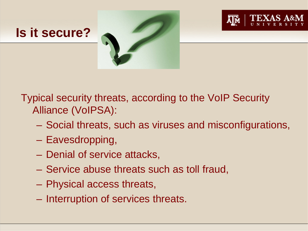



Typical security threats, according to the VoIP Security Alliance (VoIPSA):

- Social threats, such as viruses and misconfigurations,
- Eavesdropping,
- Denial of service attacks,
- Service abuse threats such as toll fraud,
- Physical access threats,
- Interruption of services threats.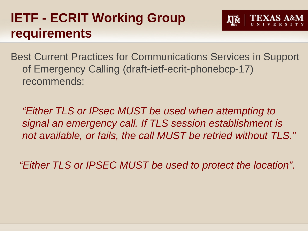# **IETF - ECRIT Working Group requirements**

Best Current Practices for Communications Services in Support of Emergency Calling (draft-ietf-ecrit-phonebcp-17) recommends:

*"Either TLS or IPsec MUST be used when attempting to signal an emergency call. If TLS session establishment is not available, or fails, the call MUST be retried without TLS."*

 *"Either TLS or IPSEC MUST be used to protect the location".*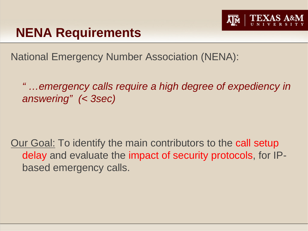

## **NENA Requirements**

National Emergency Number Association (NENA):

*" …emergency calls require a high degree of expediency in answering" (< 3sec)*

Our Goal: To identify the main contributors to the call setup delay and evaluate the impact of security protocols, for IPbased emergency calls.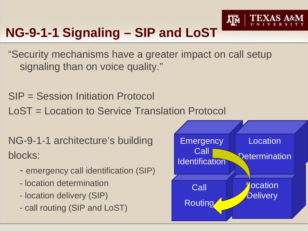

# **NG-9-1-1 Signaling – SIP and LoST**

"Security mechanisms have a greater impact on call setup signaling than on voice quality."

SIP = Session Initiation Protocol

LoST = Location to Service Translation Protocol

NG-9-1-1 architecture's building blocks:

- emergency call identification (SIP)
- location determination
- location delivery (SIP)
- call routing (SIP and LoST)

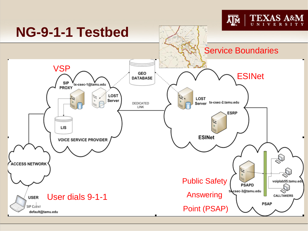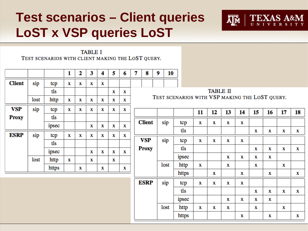## **Test scenarios – Client queries LoST x VSP queries LoST**



**TABLE I** TEST SCENARIOS WITH CLIENT MAKING THE LOST QUERY.

|               |      |       | л | 2 | 3           | 4 | 5           | 6 | 7                                              | 8             | 9 | 10   |       |    |    |             |    |    |    |    |    |
|---------------|------|-------|---|---|-------------|---|-------------|---|------------------------------------------------|---------------|---|------|-------|----|----|-------------|----|----|----|----|----|
| <b>Client</b> | sip  | tcp   | X | x | x           | X |             |   |                                                |               |   |      |       |    |    |             |    |    |    |    |    |
|               |      | tls   |   |   |             |   | X           | x | <b>TABLE II</b>                                |               |   |      |       |    |    |             |    |    |    |    |    |
|               | lost | http  | Х | x | х           | х | X           | x | TEST SCENARIOS WITH VSP MAKING THE LOST QUERY. |               |   |      |       |    |    |             |    |    |    |    |    |
| <b>VSP</b>    | sip  | tcp   | X | х | $\mathbf x$ | x | $\mathbf x$ | x |                                                |               |   |      |       | 11 | 12 | 13          | 14 | 15 | 16 | 17 | 18 |
| <b>Proxy</b>  |      | tls   |   |   |             |   |             |   |                                                |               |   |      |       |    |    |             |    |    |    |    |    |
|               |      |       |   |   |             |   |             |   |                                                | <b>Client</b> |   | sip  | tcp   | X  | X  | x           | х  |    |    |    |    |
|               |      | ipsec |   |   | х           | x | X           | x |                                                |               |   |      | tls   |    |    |             |    | X  | Х  | x  | х  |
| <b>ESRP</b>   | sip  | tcp   | х | х | х           | X | X           | х |                                                |               |   |      |       |    |    |             |    |    |    |    |    |
|               |      | tls   |   |   |             |   |             |   |                                                | <b>VSP</b>    |   | sip  | tcp   | X  | X  | X           | х  |    |    |    |    |
|               |      |       |   |   |             |   |             |   |                                                | <b>Proxy</b>  |   |      | tls   |    |    |             |    | x  | х  | X  | x  |
|               |      | ipsec |   |   | х           | x | X           | x |                                                |               |   |      |       |    |    |             |    |    |    |    |    |
|               | lost | http  | Х |   | х           |   | x           |   |                                                |               |   |      | ipsec |    |    | x           | x  | x  | х  |    |    |
|               |      | https |   | X |             | x |             | x |                                                |               |   | lost | http  | X  |    | $\mathbf x$ |    | x  |    | x  |    |
|               |      |       |   |   |             |   |             |   |                                                |               |   |      | https |    | x  |             | X  |    | Х  |    | X  |

**ESRP** 

sip

lost

tcp

tls

ipsec

http

https

X

X

x

x

x

x

x

x

x

x

x

X

X

х

x

X

X

X

x

x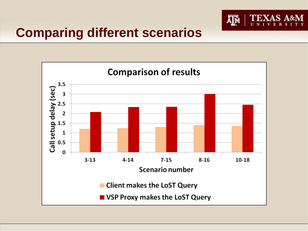

#### **Comparing different scenarios**

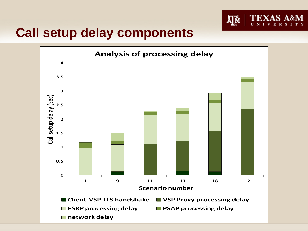

#### **Call setup delay components**

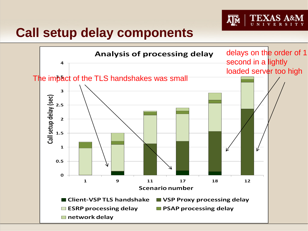

#### **Call setup delay components**

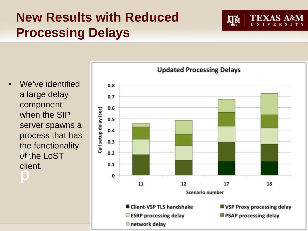# **New Results with Reduced Processing Delays**





Д™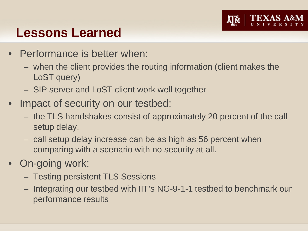

#### **Lessons Learned**

- Performance is better when:
	- when the client provides the routing information (client makes the LoST query)
	- SIP server and LoST client work well together
- Impact of security on our testbed:
	- the TLS handshakes consist of approximately 20 percent of the call setup delay.
	- call setup delay increase can be as high as 56 percent when comparing with a scenario with no security at all.
- On-going work:
	- Testing persistent TLS Sessions
	- Integrating our testbed with IIT's NG-9-1-1 testbed to benchmark our performance results